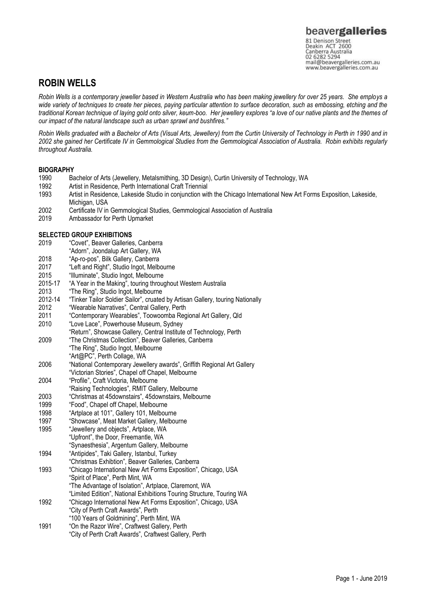### **ROBIN WELLS**

*Robin Wells is a contemporary jeweller based in Western Australia who has been making jewellery for over 25 years. She employs a wide variety of techniques to create her pieces, paying particular attention to surface decoration, such as embossing, etching and the traditional Korean technique of laying gold onto silver, keum-boo. Her jewellery explores "a love of our native plants and the themes of our impact of the natural landscape such as urban sprawl and bushfires."*

*Robin Wells graduated with a Bachelor of Arts (Visual Arts, Jewellery) from the Curtin University of Technology in Perth in 1990 and in 2002 she gained her Certificate IV in Gemmological Studies from the Gemmological Association of Australia. Robin exhibits regularly throughout Australia.*

#### **BIOGRAPHY**

- 1990 Bachelor of Arts (Jewellery, Metalsmithing, 3D Design), Curtin University of Technology, WA
- Artist in Residence, Perth International Craft Triennial
- 1993 Artist in Residence, Lakeside Studio in conjunction with the Chicago International New Art Forms Exposition, Lakeside, Michigan, USA
- 2002 Certificate IV in Gemmological Studies, Gemmological Association of Australia
- 2019 Ambassador for Perth Upmarket

#### **SELECTED GROUP EXHIBITIONS**

- 2019 "Covet", Beaver Galleries, Canberra
- "Adorn", Joondalup Art Gallery, WA
- 2018 "Ap-ro-pos", Bilk Gallery, Canberra
- 2017 "Left and Right", Studio Ingot, Melbourne
- 2015 "Illuminate", Studio Ingot, Melbourne
- 2015-17 "A Year in the Making", touring throughout Western Australia
- 2013 "The Ring", Studio Ingot, Melbourne
- 2012-14 "Tinker Tailor Soldier Sailor", cruated by Artisan Gallery, touring Nationally
- 2012 "Wearable Narratives", Central Gallery, Perth
- 2011 "Contemporary Wearables", Toowoomba Regional Art Gallery, Qld
- "Love Lace", Powerhouse Museum, Sydney
- "Return", Showcase Gallery, Central Institute of Technology, Perth
- 2009 "The Christmas Collection", Beaver Galleries, Canberra
- "The Ring", Studio Ingot, Melbourne
- "Art@PC", Perth Collage, WA 2006 "National Contemporary Jewellery awards", Griffith Regional Art Gallery
- "Victorian Stories", Chapel off Chapel, Melbourne
- 2004 "Profile", Craft Victoria, Melbourne
- "Raising Technologies", RMIT Gallery, Melbourne
- 2003 "Christmas at 45downstairs", 45downstairs, Melbourne
- 1999 "Food", Chapel off Chapel, Melbourne
- 1998 "Artplace at 101", Gallery 101, Melbourne
- 1997 "Showcase", Meat Market Gallery, Melbourne
- 1995 "Jewellery and objects", Artplace, WA
- "Upfront", the Door, Freemantle, WA
- "Synaesthesia", Argentum Gallery, Melbourne
- 1994 "Antipides", Taki Gallery, Istanbul, Turkey
- "Christmas Exhibtion", Beaver Galleries, Canberra
- 1993 "Chicago International New Art Forms Exposition", Chicago, USA "Spirit of Place", Perth Mint, WA "The Advantage of Isolation", Artplace, Claremont, WA
- "Limited Edition", National Exhibitions Touring Structure, Touring WA
- 1992 "Chicago International New Art Forms Exposition", Chicago, USA
- "City of Perth Craft Awards", Perth "100 Years of Goldmining", Perth Mint, WA
- 1991 "On the Razor Wire", Craftwest Gallery, Perth
- "City of Perth Craft Awards", Craftwest Gallery, Perth